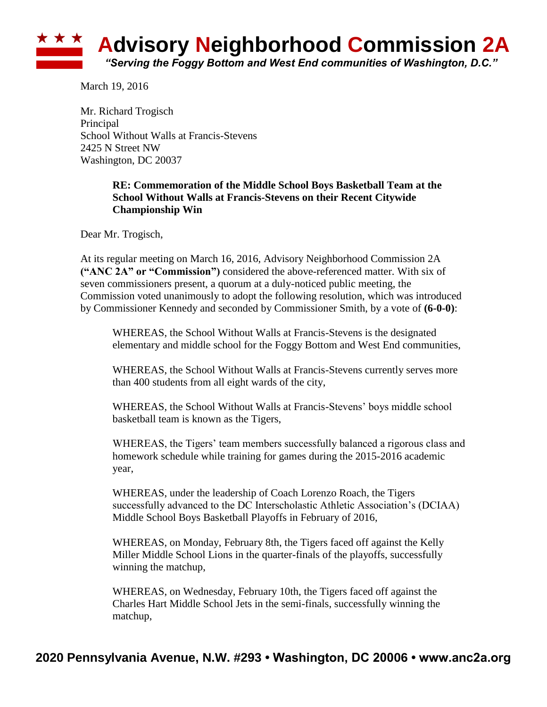

March 19, 2016

Mr. Richard Trogisch Principal School Without Walls at Francis-Stevens 2425 N Street NW Washington, DC 20037

## **RE: Commemoration of the Middle School Boys Basketball Team at the School Without Walls at Francis-Stevens on their Recent Citywide Championship Win**

Dear Mr. Trogisch,

At its regular meeting on March 16, 2016, Advisory Neighborhood Commission 2A **("ANC 2A" or "Commission")** considered the above-referenced matter. With six of seven commissioners present, a quorum at a duly-noticed public meeting, the Commission voted unanimously to adopt the following resolution, which was introduced by Commissioner Kennedy and seconded by Commissioner Smith, by a vote of **(6-0-0)**:

WHEREAS, the School Without Walls at Francis-Stevens is the designated elementary and middle school for the Foggy Bottom and West End communities,

WHEREAS, the School Without Walls at Francis-Stevens currently serves more than 400 students from all eight wards of the city,

WHEREAS, the School Without Walls at Francis-Stevens' boys middle school basketball team is known as the Tigers,

WHEREAS, the Tigers' team members successfully balanced a rigorous class and homework schedule while training for games during the 2015-2016 academic year,

WHEREAS, under the leadership of Coach Lorenzo Roach, the Tigers successfully advanced to the DC Interscholastic Athletic Association's (DCIAA) Middle School Boys Basketball Playoffs in February of 2016,

WHEREAS, on Monday, February 8th, the Tigers faced off against the Kelly Miller Middle School Lions in the quarter-finals of the playoffs, successfully winning the matchup,

WHEREAS, on Wednesday, February 10th, the Tigers faced off against the Charles Hart Middle School Jets in the semi-finals, successfully winning the matchup,